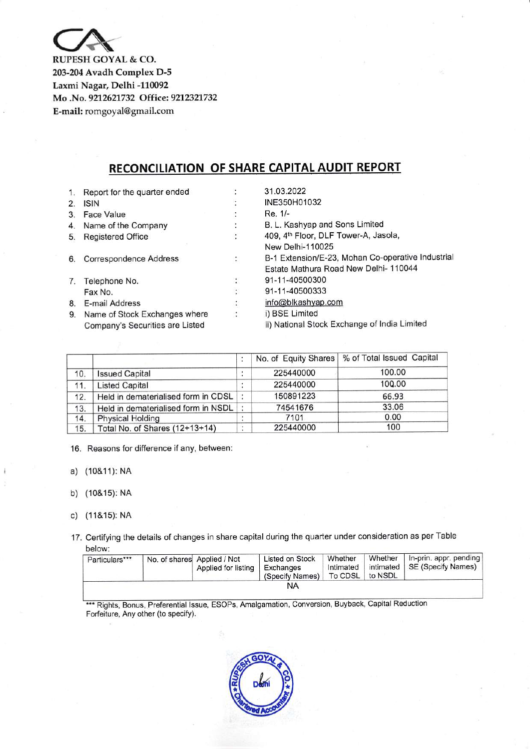

RUPESH GOYAL & CO. 203-204 Avadh Complex D-5 Laxmi Nagar, Delhi -110092 Mo .No. 9212621732 Office: 9212321732 E-mail: romgoyal@gmail.com

## RECONCILIATION OF SHARE CAPITAL AUDIT REPORT

| 1. | Report for the quarter ended    |                      | 31.03.2022                                        |
|----|---------------------------------|----------------------|---------------------------------------------------|
| 2. | <b>ISIN</b>                     |                      | INE350H01032                                      |
| 3. | <b>Face Value</b>               |                      | Re. 1/-                                           |
| 4. | Name of the Company             | ÷                    | B. L. Kashyap and Sons Limited                    |
| 5. | <b>Registered Office</b>        | $\ddot{\cdot}$       | 409, 4th Floor, DLF Tower-A, Jasola,              |
|    |                                 |                      | New Delhi-110025                                  |
| 6. | <b>Correspondence Address</b>   | ÷.                   | B-1 Extension/E-23, Mohan Co-operative Industrial |
|    |                                 |                      | Estate Mathura Road New Delhi-110044              |
| 7. | Telephone No.                   | ÷                    | 91-11-40500300                                    |
|    | Fax No.                         | $\ddot{\phantom{0}}$ | 91-11-40500333                                    |
| 8. | E-mail Address                  | ÷                    | info@blkashyap.com                                |
| 9. | Name of Stock Exchanges where   | $\ddot{\cdot}$       | i) BSE Limited                                    |
|    | Company's Securities are Listed |                      | ii) National Stock Exchange of India Limited      |

|     |                                     |           |           | No. of Equity Shares   % of Total Issued Capital |
|-----|-------------------------------------|-----------|-----------|--------------------------------------------------|
| 10. | <b>Issued Capital</b>               | ٠         | 225440000 | 100.00                                           |
| 11. | <b>Listed Capital</b>               |           | 225440000 | 100.00                                           |
| 12. | Held in dematerialised form in CDSL |           | 150891223 | 66.93                                            |
| 13. | Held in dematerialised form in NSDL |           | 74541676  | 33.06                                            |
| 14. | <b>Physical Holding</b>             | $\bullet$ | 7101      | 0.00                                             |
| 15. | Total No. of Shares (12+13+14)      | ٠.        | 225440000 | 100                                              |

16. Reasons for difference if any, between:

a) (10&1 1): NA

b) (10&15): NA

c) (11&15): NA

17. Certifying the details of changes in share capital during the quarter under consideration as per Table below:

| Particulars*** | No. of shares Applied / Not<br>Applied for listing | <b>Listed on Stock</b><br>Exchanges<br>(Specify Names)   To CDSL   to NSDL | Whether | Whether   In-prin. appr. pending<br>Intimated   intimated   SE (Specify Names) |
|----------------|----------------------------------------------------|----------------------------------------------------------------------------|---------|--------------------------------------------------------------------------------|
|                |                                                    | NA                                                                         |         |                                                                                |

\*\*\* Rights, Bonus, Preferential Issue, ESOPs, Amalgamation, Conversion, Buyback, Capital Reduction Forfeiture, Any other (to specify).